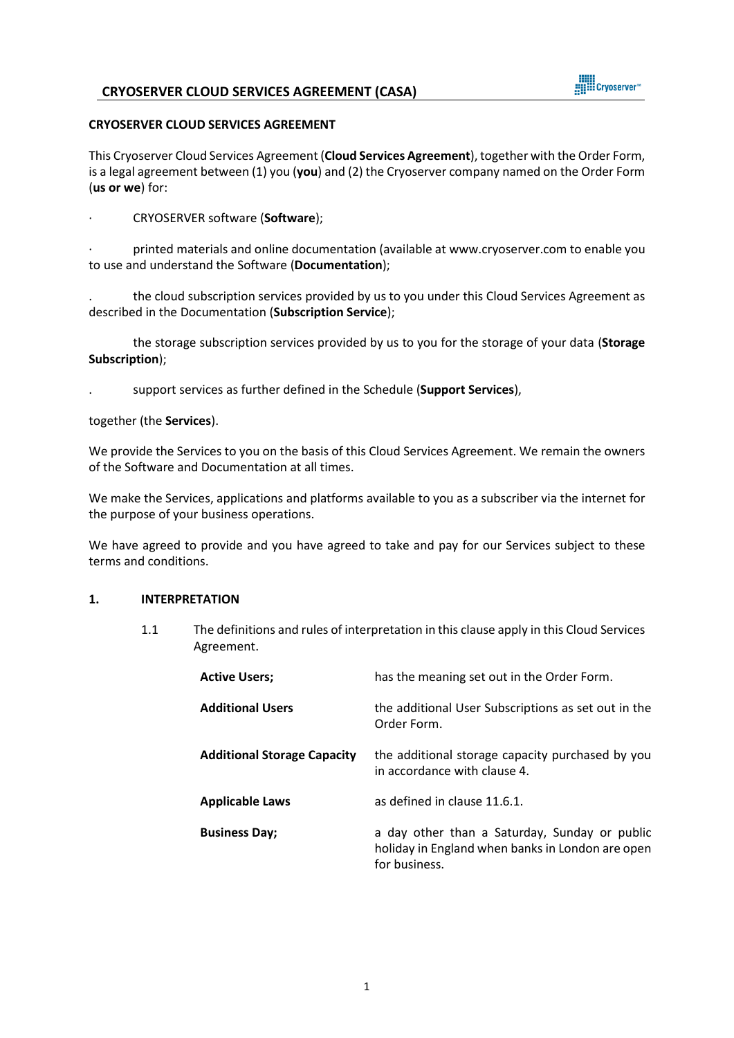

#### **CRYOSERVER CLOUD SERVICES AGREEMENT**

This Cryoserver Cloud Services Agreement (**Cloud Services Agreement**), together with the Order Form, is a legal agreement between (1) you (**you**) and (2) the Cryoserver company named on the Order Form (**us or we**) for:

· CRYOSERVER software (**Software**);

· printed materials and online documentation (available a[t www.cryoserver.com](http://www.cryoserver.com/) to enable you to use and understand the Software (**Documentation**);

. the cloud subscription services provided by us to you under this Cloud Services Agreement as described in the Documentation (**Subscription Service**);

the storage subscription services provided by us to you for the storage of your data (**Storage Subscription**);

. support services as further defined in the Schedule (**Support Services**),

together (the **Services**).

We provide the Services to you on the basis of this Cloud Services Agreement. We remain the owners of the Software and Documentation at all times.

We make the Services, applications and platforms available to you as a subscriber via the internet for the purpose of your business operations.

We have agreed to provide and you have agreed to take and pay for our Services subject to these terms and conditions.

### **1. INTERPRETATION**

1.1 The definitions and rules of interpretation in this clause apply in this Cloud Services Agreement.

| <b>Active Users;</b>               | has the meaning set out in the Order Form.                                                                         |
|------------------------------------|--------------------------------------------------------------------------------------------------------------------|
| <b>Additional Users</b>            | the additional User Subscriptions as set out in the<br>Order Form.                                                 |
| <b>Additional Storage Capacity</b> | the additional storage capacity purchased by you<br>in accordance with clause 4.                                   |
| <b>Applicable Laws</b>             | as defined in clause 11.6.1.                                                                                       |
| <b>Business Day;</b>               | a day other than a Saturday, Sunday or public<br>holiday in England when banks in London are open<br>for business. |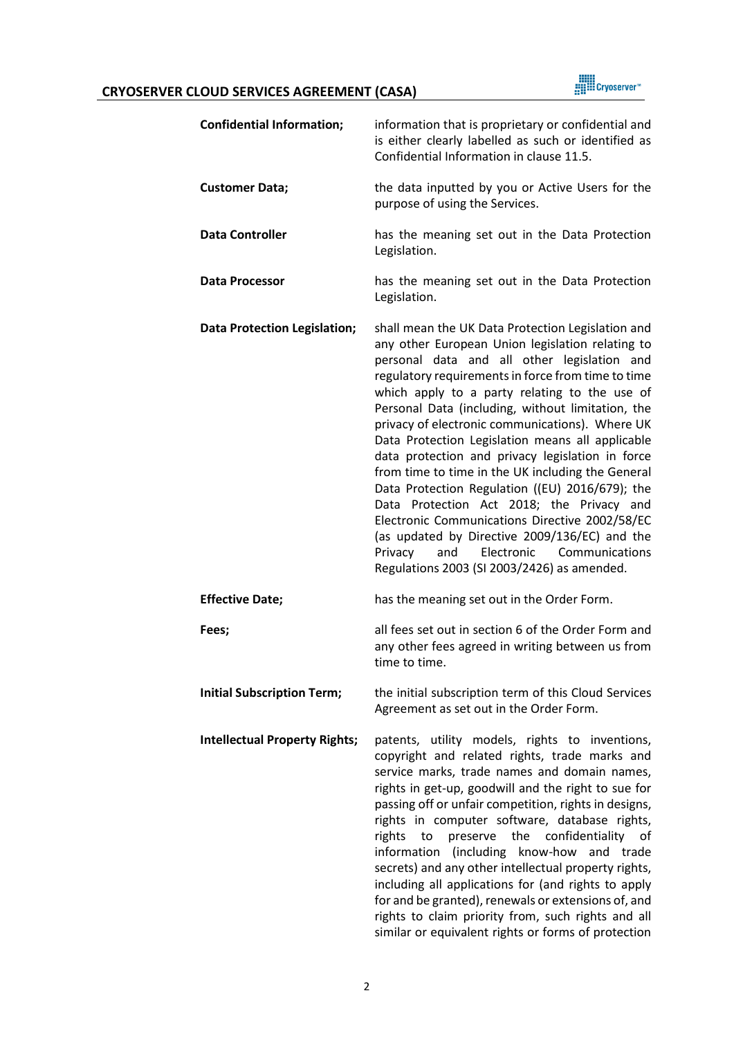

| <b>Confidential Information;</b>     | information that is proprietary or confidential and<br>is either clearly labelled as such or identified as<br>Confidential Information in clause 11.5.                                                                                                                                                                                                                                                                                                                                                                                                                                                                                                                                                                                                                                                                               |
|--------------------------------------|--------------------------------------------------------------------------------------------------------------------------------------------------------------------------------------------------------------------------------------------------------------------------------------------------------------------------------------------------------------------------------------------------------------------------------------------------------------------------------------------------------------------------------------------------------------------------------------------------------------------------------------------------------------------------------------------------------------------------------------------------------------------------------------------------------------------------------------|
| <b>Customer Data;</b>                | the data inputted by you or Active Users for the<br>purpose of using the Services.                                                                                                                                                                                                                                                                                                                                                                                                                                                                                                                                                                                                                                                                                                                                                   |
| <b>Data Controller</b>               | has the meaning set out in the Data Protection<br>Legislation.                                                                                                                                                                                                                                                                                                                                                                                                                                                                                                                                                                                                                                                                                                                                                                       |
| <b>Data Processor</b>                | has the meaning set out in the Data Protection<br>Legislation.                                                                                                                                                                                                                                                                                                                                                                                                                                                                                                                                                                                                                                                                                                                                                                       |
| <b>Data Protection Legislation;</b>  | shall mean the UK Data Protection Legislation and<br>any other European Union legislation relating to<br>personal data and all other legislation and<br>regulatory requirements in force from time to time<br>which apply to a party relating to the use of<br>Personal Data (including, without limitation, the<br>privacy of electronic communications). Where UK<br>Data Protection Legislation means all applicable<br>data protection and privacy legislation in force<br>from time to time in the UK including the General<br>Data Protection Regulation ((EU) 2016/679); the<br>Data Protection Act 2018; the Privacy and<br>Electronic Communications Directive 2002/58/EC<br>(as updated by Directive 2009/136/EC) and the<br>Electronic<br>Communications<br>Privacy<br>and<br>Regulations 2003 (SI 2003/2426) as amended. |
| <b>Effective Date;</b>               | has the meaning set out in the Order Form.                                                                                                                                                                                                                                                                                                                                                                                                                                                                                                                                                                                                                                                                                                                                                                                           |
| Fees;                                | all fees set out in section 6 of the Order Form and<br>any other fees agreed in writing between us from<br>time to time.                                                                                                                                                                                                                                                                                                                                                                                                                                                                                                                                                                                                                                                                                                             |
| <b>Initial Subscription Term;</b>    | the initial subscription term of this Cloud Services<br>Agreement as set out in the Order Form.                                                                                                                                                                                                                                                                                                                                                                                                                                                                                                                                                                                                                                                                                                                                      |
| <b>Intellectual Property Rights;</b> | patents, utility models, rights to inventions,<br>copyright and related rights, trade marks and<br>service marks, trade names and domain names,<br>rights in get-up, goodwill and the right to sue for<br>passing off or unfair competition, rights in designs,<br>rights in computer software, database rights,<br>to<br>preserve the<br>confidentiality of<br>rights<br>information (including know-how and trade<br>secrets) and any other intellectual property rights,<br>including all applications for (and rights to apply<br>for and be granted), renewals or extensions of, and<br>rights to claim priority from, such rights and all<br>similar or equivalent rights or forms of protection                                                                                                                               |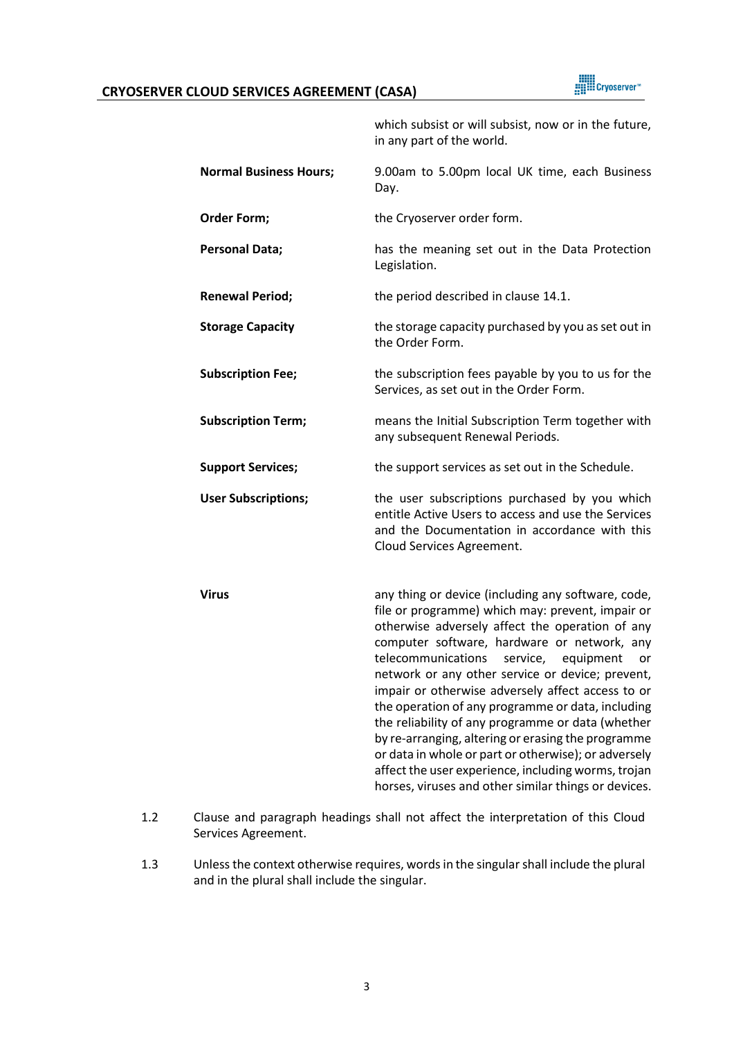

|                               | which subsist or will subsist, now or in the future,<br>in any part of the world.                                                                                                                                                                                                                                                                                                                                                                                                                                                                                                                                                                                                                             |
|-------------------------------|---------------------------------------------------------------------------------------------------------------------------------------------------------------------------------------------------------------------------------------------------------------------------------------------------------------------------------------------------------------------------------------------------------------------------------------------------------------------------------------------------------------------------------------------------------------------------------------------------------------------------------------------------------------------------------------------------------------|
| <b>Normal Business Hours;</b> | 9.00am to 5.00pm local UK time, each Business<br>Day.                                                                                                                                                                                                                                                                                                                                                                                                                                                                                                                                                                                                                                                         |
| Order Form;                   | the Cryoserver order form.                                                                                                                                                                                                                                                                                                                                                                                                                                                                                                                                                                                                                                                                                    |
| <b>Personal Data;</b>         | has the meaning set out in the Data Protection<br>Legislation.                                                                                                                                                                                                                                                                                                                                                                                                                                                                                                                                                                                                                                                |
| <b>Renewal Period;</b>        | the period described in clause 14.1.                                                                                                                                                                                                                                                                                                                                                                                                                                                                                                                                                                                                                                                                          |
| <b>Storage Capacity</b>       | the storage capacity purchased by you as set out in<br>the Order Form.                                                                                                                                                                                                                                                                                                                                                                                                                                                                                                                                                                                                                                        |
| <b>Subscription Fee;</b>      | the subscription fees payable by you to us for the<br>Services, as set out in the Order Form.                                                                                                                                                                                                                                                                                                                                                                                                                                                                                                                                                                                                                 |
| <b>Subscription Term;</b>     | means the Initial Subscription Term together with<br>any subsequent Renewal Periods.                                                                                                                                                                                                                                                                                                                                                                                                                                                                                                                                                                                                                          |
| <b>Support Services;</b>      | the support services as set out in the Schedule.                                                                                                                                                                                                                                                                                                                                                                                                                                                                                                                                                                                                                                                              |
| <b>User Subscriptions;</b>    | the user subscriptions purchased by you which<br>entitle Active Users to access and use the Services<br>and the Documentation in accordance with this<br>Cloud Services Agreement.                                                                                                                                                                                                                                                                                                                                                                                                                                                                                                                            |
| <b>Virus</b>                  | any thing or device (including any software, code,<br>file or programme) which may: prevent, impair or<br>otherwise adversely affect the operation of any<br>computer software, hardware or network, any<br>telecommunications<br>service,<br>equipment<br>or<br>network or any other service or device; prevent,<br>impair or otherwise adversely affect access to or<br>the operation of any programme or data, including<br>the reliability of any programme or data (whether<br>by re-arranging, altering or erasing the programme<br>or data in whole or part or otherwise); or adversely<br>affect the user experience, including worms, trojan<br>horses, viruses and other similar things or devices. |

- 1.2 Clause and paragraph headings shall not affect the interpretation of this Cloud Services Agreement.
- 1.3 Unless the context otherwise requires, words in the singular shall include the plural and in the plural shall include the singular.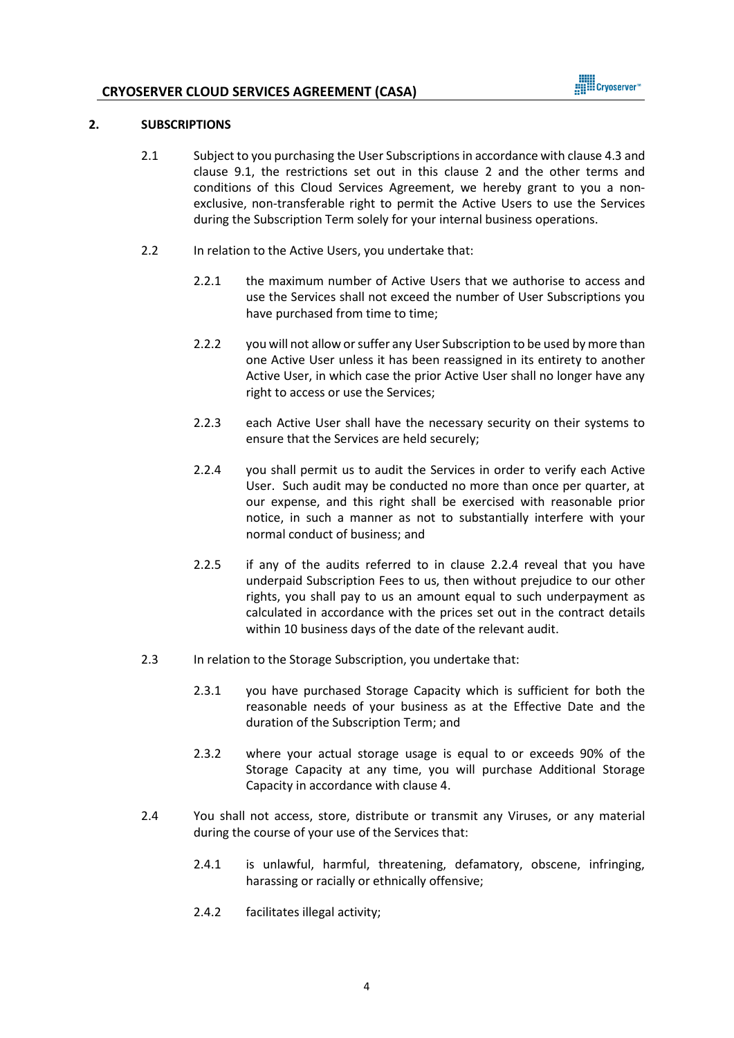

#### <span id="page-3-0"></span>**2. SUBSCRIPTIONS**

- 2.1 Subject to you purchasing the User Subscriptions in accordance with claus[e 4.3](#page-5-0) and clause [9.1,](#page-9-0) the restrictions set out in this clause [2](#page-3-0) and the other terms and conditions of this Cloud Services Agreement, we hereby grant to you a nonexclusive, non-transferable right to permit the Active Users to use the Services during the Subscription Term solely for your internal business operations.
- 2.2 In relation to the Active Users, you undertake that:
	- 2.2.1 the maximum number of Active Users that we authorise to access and use the Services shall not exceed the number of User Subscriptions you have purchased from time to time;
	- 2.2.2 you will not allow or suffer any User Subscription to be used by more than one Active User unless it has been reassigned in its entirety to another Active User, in which case the prior Active User shall no longer have any right to access or use the Services;
	- 2.2.3 each Active User shall have the necessary security on their systems to ensure that the Services are held securely;
	- 2.2.4 you shall permit us to audit the Services in order to verify each Active User. Such audit may be conducted no more than once per quarter, at our expense, and this right shall be exercised with reasonable prior notice, in such a manner as not to substantially interfere with your normal conduct of business; and
	- 2.2.5 if any of the audits referred to in clause 2.2.4 reveal that you have underpaid Subscription Fees to us, then without prejudice to our other rights, you shall pay to us an amount equal to such underpayment as calculated in accordance with the prices set out in the contract details within 10 business days of the date of the relevant audit.
- 2.3 In relation to the Storage Subscription, you undertake that:
	- 2.3.1 you have purchased Storage Capacity which is sufficient for both the reasonable needs of your business as at the Effective Date and the duration of the Subscription Term; and
	- 2.3.2 where your actual storage usage is equal to or exceeds 90% of the Storage Capacity at any time, you will purchase Additional Storage Capacity in accordance with clause 4.
- 2.4 You shall not access, store, distribute or transmit any Viruses, or any material during the course of your use of the Services that:
	- 2.4.1 is unlawful, harmful, threatening, defamatory, obscene, infringing, harassing or racially or ethnically offensive;
	- 2.4.2 facilitates illegal activity;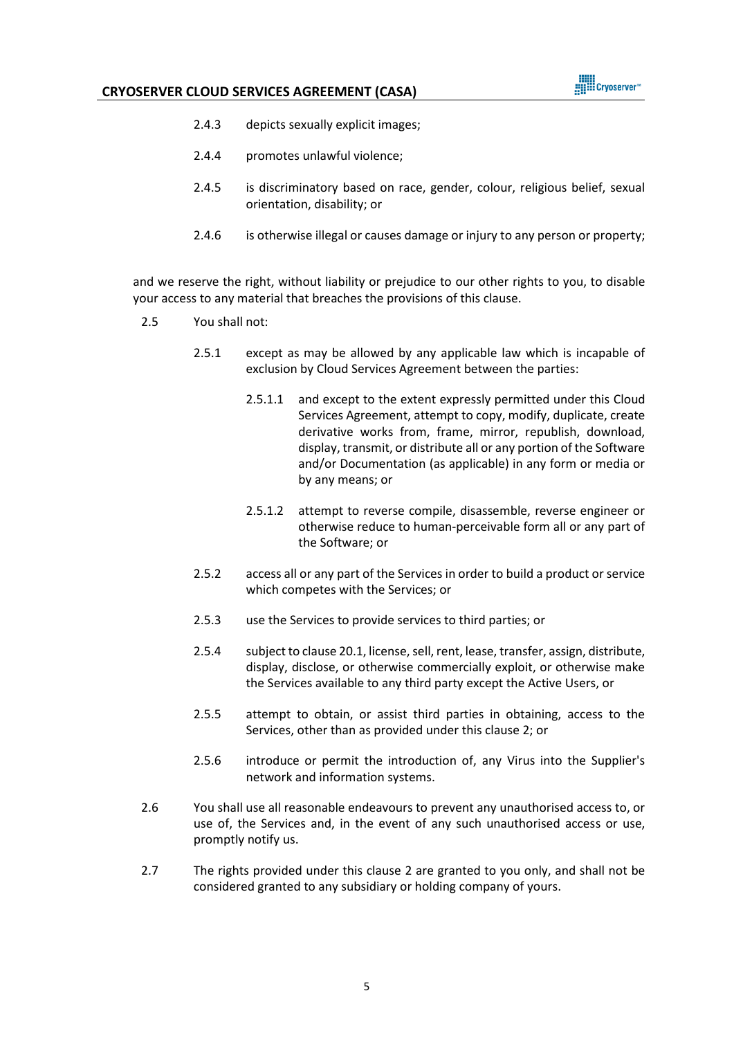

- 2.4.3 depicts sexually explicit images;
- 2.4.4 promotes unlawful violence;
- 2.4.5 is discriminatory based on race, gender, colour, religious belief, sexual orientation, disability; or
- 2.4.6 is otherwise illegal or causes damage or injury to any person or property;

and we reserve the right, without liability or prejudice to our other rights to you, to disable your access to any material that breaches the provisions of this clause.

- 2.5 You shall not:
	- 2.5.1 except as may be allowed by any applicable law which is incapable of exclusion by Cloud Services Agreement between the parties:
		- 2.5.1.1 and except to the extent expressly permitted under this Cloud Services Agreement, attempt to copy, modify, duplicate, create derivative works from, frame, mirror, republish, download, display, transmit, or distribute all or any portion of the Software and/or Documentation (as applicable) in any form or media or by any means; or
		- 2.5.1.2 attempt to reverse compile, disassemble, reverse engineer or otherwise reduce to human-perceivable form all or any part of the Software; or
	- 2.5.2 access all or any part of the Services in order to build a product or service which competes with the Services; or
	- 2.5.3 use the Services to provide services to third parties; or
	- 2.5.4 subject to clause 20.1, license, sell, rent, lease, transfer, assign, distribute, display, disclose, or otherwise commercially exploit, or otherwise make the Services available to any third party except the Active Users, or
	- 2.5.5 attempt to obtain, or assist third parties in obtaining, access to the Services, other than as provided under this clause [2;](#page-3-0) or
	- 2.5.6 introduce or permit the introduction of, any Virus into the Supplier's network and information systems.
- 2.6 You shall use all reasonable endeavours to prevent any unauthorised access to, or use of, the Services and, in the event of any such unauthorised access or use, promptly notify us.
- 2.7 The rights provided under this clause [2](#page-3-0) are granted to you only, and shall not be considered granted to any subsidiary or holding company of yours.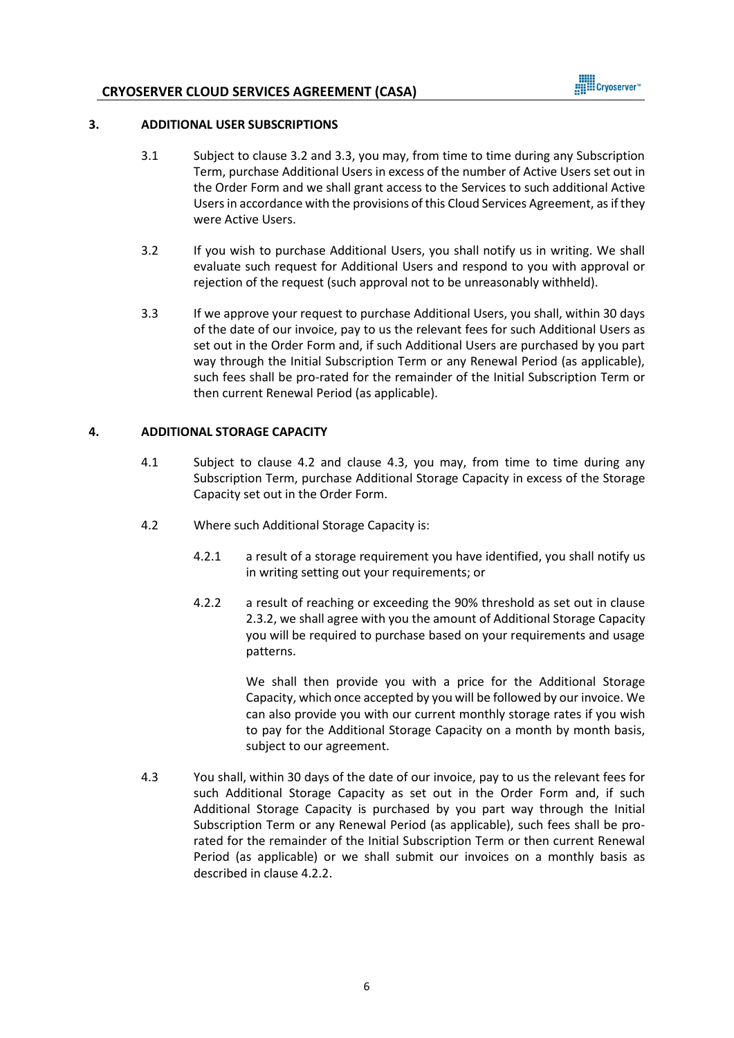

#### **3. ADDITIONAL USER SUBSCRIPTIONS**

- 3.1 Subject to clause 3.2 and 3.3, you may, from time to time during any Subscription Term, purchase Additional Users in excess of the number of Active Users set out in the Order Form and we shall grant access to the Services to such additional Active Users in accordance with the provisions of this Cloud Services Agreement, as if they were Active Users.
- 3.2 If you wish to purchase Additional Users, you shall notify us in writing. We shall evaluate such request for Additional Users and respond to you with approval or rejection of the request (such approval not to be unreasonably withheld).
- 3.3 If we approve your request to purchase Additional Users, you shall, within 30 days of the date of our invoice, pay to us the relevant fees for such Additional Users as set out in the Order Form and, if such Additional Users are purchased by you part way through the Initial Subscription Term or any Renewal Period (as applicable), such fees shall be pro-rated for the remainder of the Initial Subscription Term or then current Renewal Period (as applicable).

#### **4. ADDITIONAL STORAGE CAPACITY**

- 4.1 Subject to clause [4.2](#page-5-1) and clause [4.3,](#page-5-0) you may, from time to time during any Subscription Term, purchase Additional Storage Capacity in excess of the Storage Capacity set out in the Order Form.
- <span id="page-5-1"></span>4.2 Where such Additional Storage Capacity is:
	- 4.2.1 a result of a storage requirement you have identified, you shall notify us in writing setting out your requirements; or
	- 4.2.2 a result of reaching or exceeding the 90% threshold as set out in clause 2.3.2, we shall agree with you the amount of Additional Storage Capacity you will be required to purchase based on your requirements and usage patterns.

We shall then provide you with a price for the Additional Storage Capacity, which once accepted by you will be followed by our invoice. We can also provide you with our current monthly storage rates if you wish to pay for the Additional Storage Capacity on a month by month basis, subject to our agreement.

<span id="page-5-0"></span>4.3 You shall, within 30 days of the date of our invoice, pay to us the relevant fees for such Additional Storage Capacity as set out in the Order Form and, if such Additional Storage Capacity is purchased by you part way through the Initial Subscription Term or any Renewal Period (as applicable), such fees shall be prorated for the remainder of the Initial Subscription Term or then current Renewal Period (as applicable) or we shall submit our invoices on a monthly basis as described in clause 4.2.2.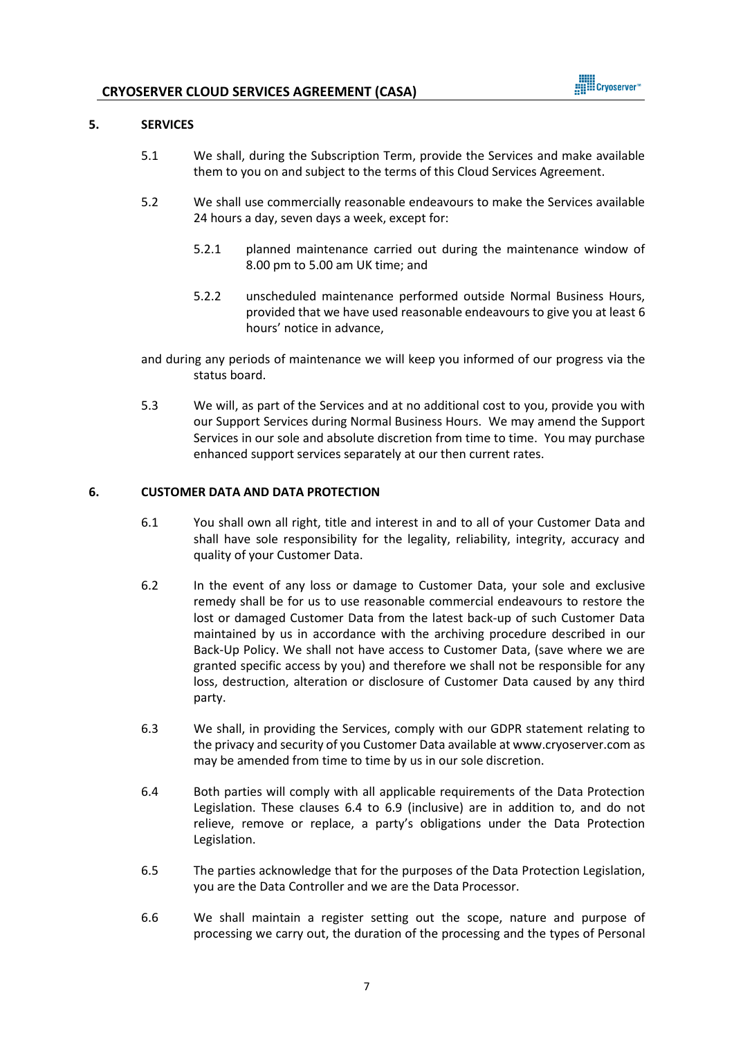

#### **5. SERVICES**

- 5.1 We shall, during the Subscription Term, provide the Services and make available them to you on and subject to the terms of this Cloud Services Agreement.
- 5.2 We shall use commercially reasonable endeavours to make the Services available 24 hours a day, seven days a week, except for:
	- 5.2.1 planned maintenance carried out during the maintenance window of 8.00 pm to 5.00 am UK time; and
	- 5.2.2 unscheduled maintenance performed outside Normal Business Hours, provided that we have used reasonable endeavours to give you at least 6 hours' notice in advance,

and during any periods of maintenance we will keep you informed of our progress via the status board.

5.3 We will, as part of the Services and at no additional cost to you, provide you with our Support Services during Normal Business Hours. We may amend the Support Services in our sole and absolute discretion from time to time. You may purchase enhanced support services separately at our then current rates.

#### **6. CUSTOMER DATA AND DATA PROTECTION**

- 6.1 You shall own all right, title and interest in and to all of your Customer Data and shall have sole responsibility for the legality, reliability, integrity, accuracy and quality of your Customer Data.
- 6.2 In the event of any loss or damage to Customer Data, your sole and exclusive remedy shall be for us to use reasonable commercial endeavours to restore the lost or damaged Customer Data from the latest back-up of such Customer Data maintained by us in accordance with the archiving procedure described in our Back-Up Policy. We shall not have access to Customer Data, (save where we are granted specific access by you) and therefore we shall not be responsible for any loss, destruction, alteration or disclosure of Customer Data caused by any third party.
- 6.3 We shall, in providing the Services, comply with our GDPR statement relating to the privacy and security of you Customer Data available a[t www.cryoserver.com](http://www.cryoserver.com/) as may be amended from time to time by us in our sole discretion.
- 6.4 Both parties will comply with all applicable requirements of the Data Protection Legislation. These clauses 6.4 to 6.9 (inclusive) are in addition to, and do not relieve, remove or replace, a party's obligations under the Data Protection Legislation.
- 6.5 The parties acknowledge that for the purposes of the Data Protection Legislation, you are the Data Controller and we are the Data Processor.
- 6.6 We shall maintain a register setting out the scope, nature and purpose of processing we carry out, the duration of the processing and the types of Personal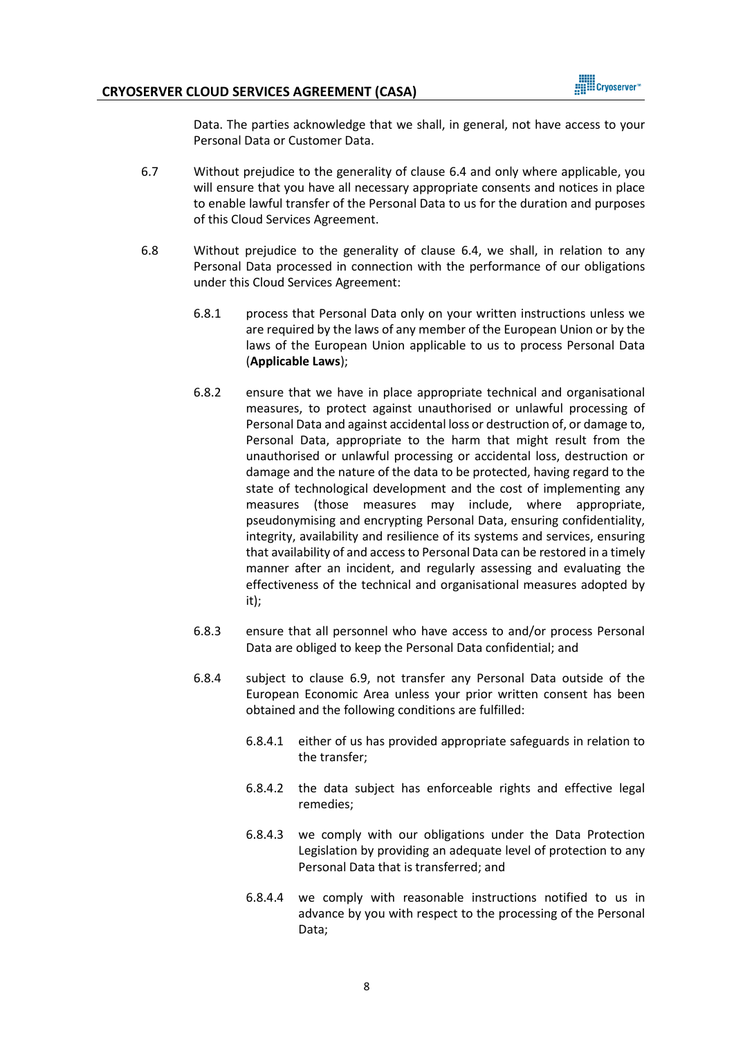

Data. The parties acknowledge that we shall, in general, not have access to your Personal Data or Customer Data.

- 6.7 Without prejudice to the generality of clause 6.4 and only where applicable, you will ensure that you have all necessary appropriate consents and notices in place to enable lawful transfer of the Personal Data to us for the duration and purposes of this Cloud Services Agreement.
- 6.8 Without prejudice to the generality of clause 6.4, we shall, in relation to any Personal Data processed in connection with the performance of our obligations under this Cloud Services Agreement:
	- 6.8.1 process that Personal Data only on your written instructions unless we are required by the laws of any member of the European Union or by the laws of the European Union applicable to us to process Personal Data (**Applicable Laws**);
	- 6.8.2 ensure that we have in place appropriate technical and organisational measures, to protect against unauthorised or unlawful processing of Personal Data and against accidental loss or destruction of, or damage to, Personal Data, appropriate to the harm that might result from the unauthorised or unlawful processing or accidental loss, destruction or damage and the nature of the data to be protected, having regard to the state of technological development and the cost of implementing any measures (those measures may include, where appropriate, pseudonymising and encrypting Personal Data, ensuring confidentiality, integrity, availability and resilience of its systems and services, ensuring that availability of and access to Personal Data can be restored in a timely manner after an incident, and regularly assessing and evaluating the effectiveness of the technical and organisational measures adopted by it);
	- 6.8.3 ensure that all personnel who have access to and/or process Personal Data are obliged to keep the Personal Data confidential; and
	- 6.8.4 subject to clause 6.9, not transfer any Personal Data outside of the European Economic Area unless your prior written consent has been obtained and the following conditions are fulfilled:
		- 6.8.4.1 either of us has provided appropriate safeguards in relation to the transfer;
		- 6.8.4.2 the data subject has enforceable rights and effective legal remedies;
		- 6.8.4.3 we comply with our obligations under the Data Protection Legislation by providing an adequate level of protection to any Personal Data that is transferred; and
		- 6.8.4.4 we comply with reasonable instructions notified to us in advance by you with respect to the processing of the Personal Data;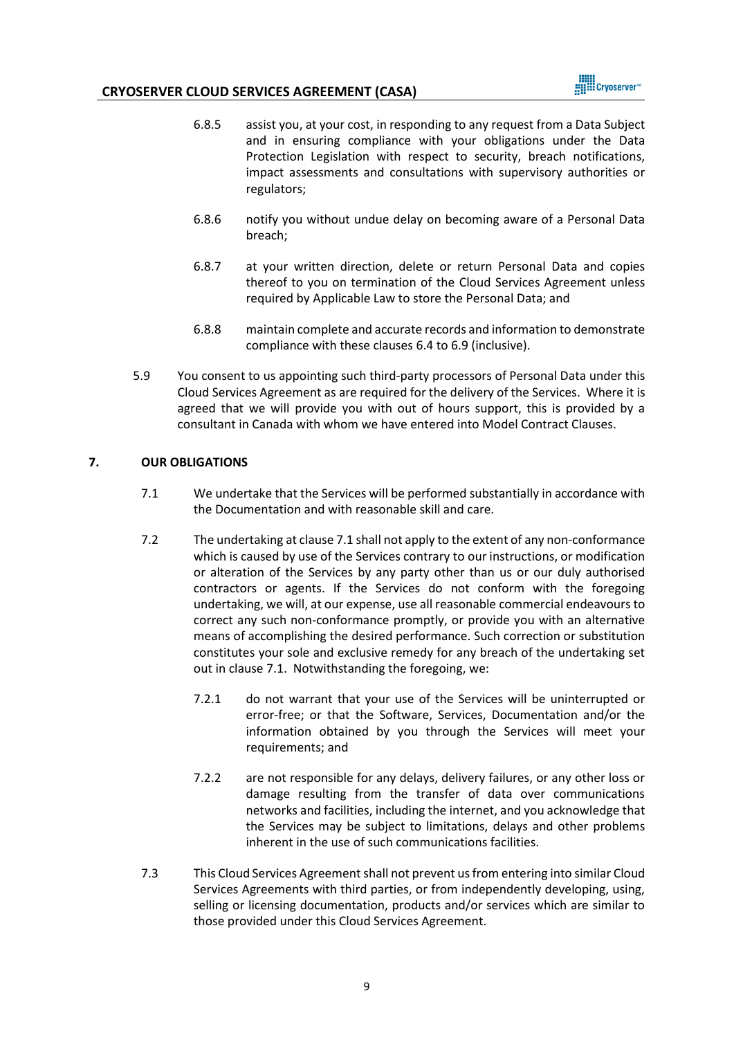

- 6.8.5 assist you, at your cost, in responding to any request from a Data Subject and in ensuring compliance with your obligations under the Data Protection Legislation with respect to security, breach notifications, impact assessments and consultations with supervisory authorities or regulators;
- 6.8.6 notify you without undue delay on becoming aware of a Personal Data breach;
- 6.8.7 at your written direction, delete or return Personal Data and copies thereof to you on termination of the Cloud Services Agreement unless required by Applicable Law to store the Personal Data; and
- 6.8.8 maintain complete and accurate records and information to demonstrate compliance with these clauses 6.4 to 6.9 (inclusive).
- 5.9 You consent to us appointing such third-party processors of Personal Data under this Cloud Services Agreement as are required for the delivery of the Services. Where it is agreed that we will provide you with out of hours support, this is provided by a consultant in Canada with whom we have entered into Model Contract Clauses.

# <span id="page-8-0"></span>**7. OUR OBLIGATIONS**

- 7.1 We undertake that the Services will be performed substantially in accordance with the Documentation and with reasonable skill and care.
- 7.2 The undertaking at clause [7.1](#page-8-0) shall not apply to the extent of any non-conformance which is caused by use of the Services contrary to our instructions, or modification or alteration of the Services by any party other than us or our duly authorised contractors or agents. If the Services do not conform with the foregoing undertaking, we will, at our expense, use all reasonable commercial endeavours to correct any such non-conformance promptly, or provide you with an alternative means of accomplishing the desired performance. Such correction or substitution constitutes your sole and exclusive remedy for any breach of the undertaking set out in clause [7.1.](#page-8-0) Notwithstanding the foregoing, we:
	- 7.2.1 do not warrant that your use of the Services will be uninterrupted or error-free; or that the Software, Services, Documentation and/or the information obtained by you through the Services will meet your requirements; and
	- 7.2.2 are not responsible for any delays, delivery failures, or any other loss or damage resulting from the transfer of data over communications networks and facilities, including the internet, and you acknowledge that the Services may be subject to limitations, delays and other problems inherent in the use of such communications facilities.
- 7.3 This Cloud Services Agreementshall not prevent usfrom entering into similar Cloud Services Agreements with third parties, or from independently developing, using, selling or licensing documentation, products and/or services which are similar to those provided under this Cloud Services Agreement.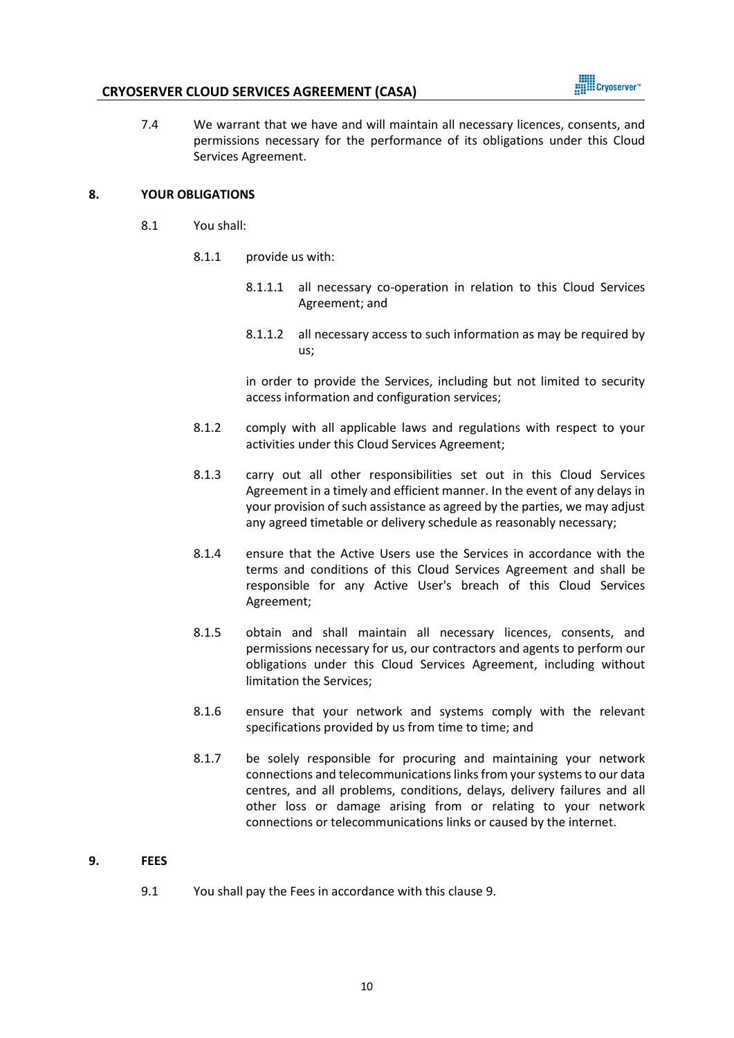

<span id="page-9-1"></span>7.4 We warrant that we have and will maintain all necessary licences, consents, and permissions necessary for the performance of its obligations under this Cloud Services Agreement.

#### **8. YOUR OBLIGATIONS**

- 8.1 You shall:
	- 8.1.1 provide us with:
		- 8.1.1.1 all necessary co-operation in relation to this Cloud Services Agreement; and
		- 8.1.1.2 all necessary access to such information as may be required by us;

in order to provide the Services, including but not limited to security access information and configuration services;

- 8.1.2 comply with all applicable laws and regulations with respect to your activities under this Cloud Services Agreement;
- 8.1.3 carry out all other responsibilities set out in this Cloud Services Agreement in a timely and efficient manner. In the event of any delays in your provision of such assistance as agreed by the parties, we may adjust any agreed timetable or delivery schedule as reasonably necessary;
- 8.1.4 ensure that the Active Users use the Services in accordance with the terms and conditions of this Cloud Services Agreement and shall be responsible for any Active User's breach of this Cloud Services Agreement;
- 8.1.5 obtain and shall maintain all necessary licences, consents, and permissions necessary for us, our contractors and agents to perform our obligations under this Cloud Services Agreement, including without limitation the Services;
- 8.1.6 ensure that your network and systems comply with the relevant specifications provided by us from time to time; and
- 8.1.7 be solely responsible for procuring and maintaining your network connections and telecommunications links from your systems to our data centres, and all problems, conditions, delays, delivery failures and all other loss or damage arising from or relating to your network connections or telecommunications links or caused by the internet.

#### <span id="page-9-0"></span>**9. FEES**

9.1 You shall pay the Fees in accordance with this clause 9.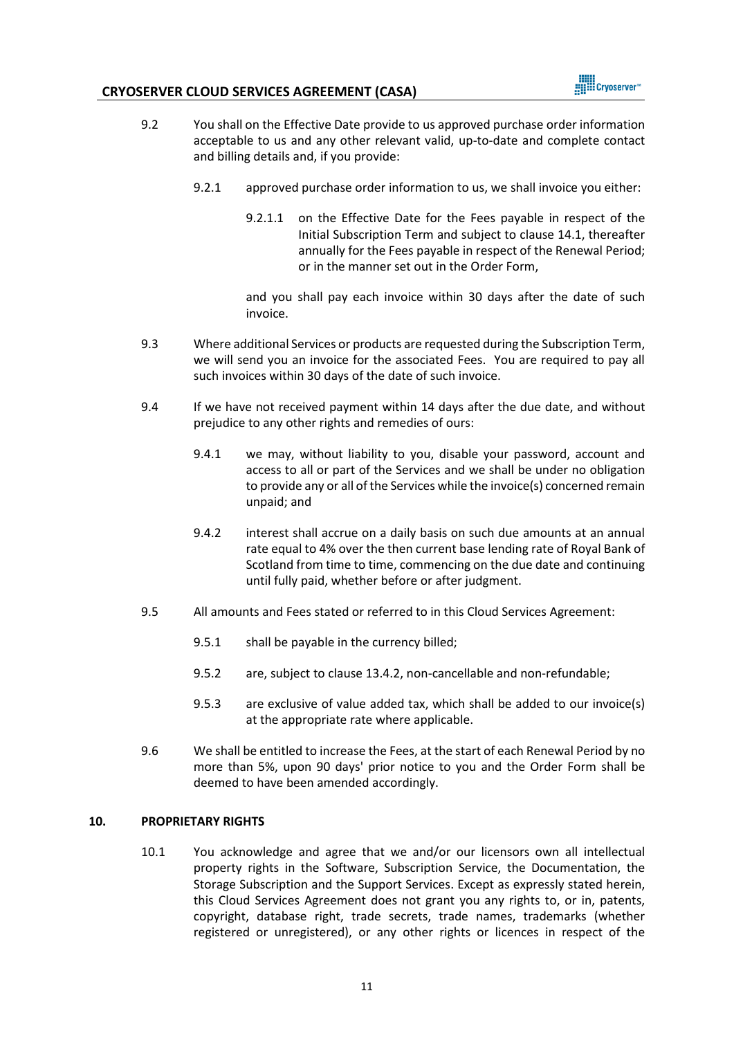

- 9.2 You shall on the Effective Date provide to us approved purchase order information acceptable to us and any other relevant valid, up-to-date and complete contact and billing details and, if you provide:
	- 9.2.1 approved purchase order information to us, we shall invoice you either:
		- 9.2.1.1 on the Effective Date for the Fees payable in respect of the Initial Subscription Term and subject to clause 14.1, thereafter annually for the Fees payable in respect of the Renewal Period; or in the manner set out in the Order Form,

and you shall pay each invoice within 30 days after the date of such invoice.

- 9.3 Where additional Services or products are requested during the Subscription Term, we will send you an invoice for the associated Fees. You are required to pay all such invoices within 30 days of the date of such invoice.
- 9.4 If we have not received payment within 14 days after the due date, and without prejudice to any other rights and remedies of ours:
	- 9.4.1 we may, without liability to you, disable your password, account and access to all or part of the Services and we shall be under no obligation to provide any or all of the Services while the invoice(s) concerned remain unpaid; and
	- 9.4.2 interest shall accrue on a daily basis on such due amounts at an annual rate equal to 4% over the then current base lending rate of Royal Bank of Scotland from time to time, commencing on the due date and continuing until fully paid, whether before or after judgment.
- 9.5 All amounts and Fees stated or referred to in this Cloud Services Agreement:
	- 9.5.1 shall be payable in the currency billed;
	- 9.5.2 are, subject to claus[e 13.4.2,](#page-13-0) non-cancellable and non-refundable;
	- 9.5.3 are exclusive of value added tax, which shall be added to our invoice(s) at the appropriate rate where applicable.
- 9.6 We shall be entitled to increase the Fees, at the start of each Renewal Period by no more than 5%, upon 90 days' prior notice to you and the Order Form shall be deemed to have been amended accordingly.

### **10. PROPRIETARY RIGHTS**

10.1 You acknowledge and agree that we and/or our licensors own all intellectual property rights in the Software, Subscription Service, the Documentation, the Storage Subscription and the Support Services. Except as expressly stated herein, this Cloud Services Agreement does not grant you any rights to, or in, patents, copyright, database right, trade secrets, trade names, trademarks (whether registered or unregistered), or any other rights or licences in respect of the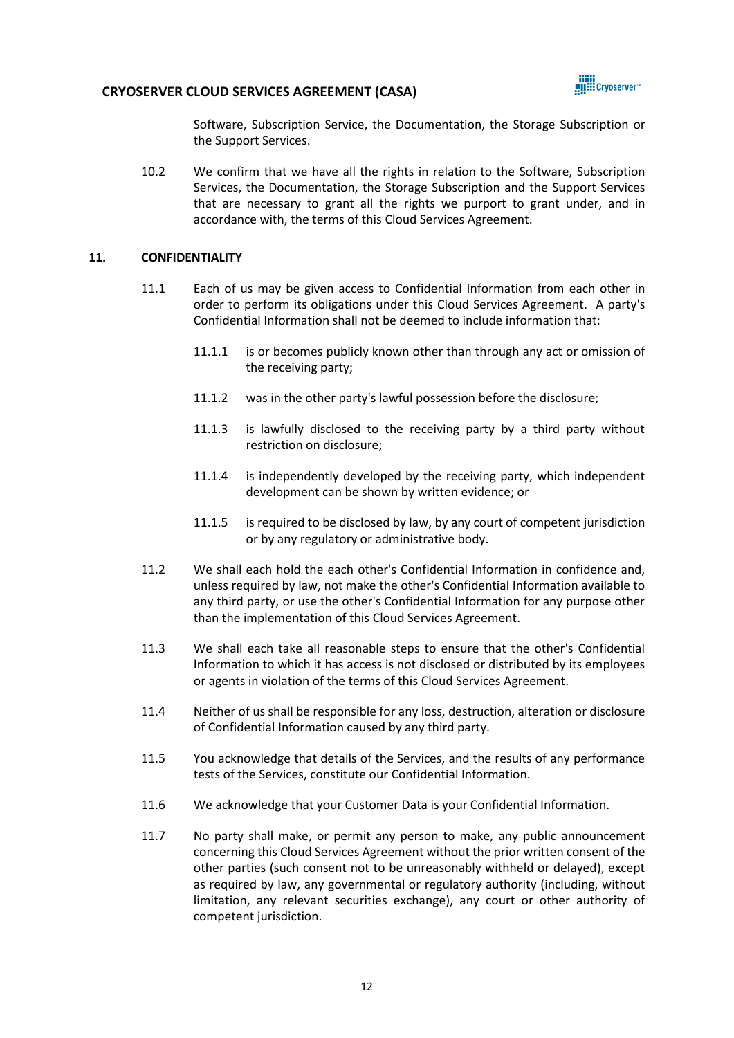

Software, Subscription Service, the Documentation, the Storage Subscription or the Support Services.

10.2 We confirm that we have all the rights in relation to the Software, Subscription Services, the Documentation, the Storage Subscription and the Support Services that are necessary to grant all the rights we purport to grant under, and in accordance with, the terms of this Cloud Services Agreement.

#### <span id="page-11-1"></span>**11. CONFIDENTIALITY**

- 11.1 Each of us may be given access to Confidential Information from each other in order to perform its obligations under this Cloud Services Agreement. A party's Confidential Information shall not be deemed to include information that:
	- 11.1.1 is or becomes publicly known other than through any act or omission of the receiving party;
	- 11.1.2 was in the other party's lawful possession before the disclosure;
	- 11.1.3 is lawfully disclosed to the receiving party by a third party without restriction on disclosure;
	- 11.1.4 is independently developed by the receiving party, which independent development can be shown by written evidence; or
	- 11.1.5 is required to be disclosed by law, by any court of competent jurisdiction or by any regulatory or administrative body.
- 11.2 We shall each hold the each other's Confidential Information in confidence and, unless required by law, not make the other's Confidential Information available to any third party, or use the other's Confidential Information for any purpose other than the implementation of this Cloud Services Agreement.
- 11.3 We shall each take all reasonable steps to ensure that the other's Confidential Information to which it has access is not disclosed or distributed by its employees or agents in violation of the terms of this Cloud Services Agreement.
- 11.4 Neither of us shall be responsible for any loss, destruction, alteration or disclosure of Confidential Information caused by any third party.
- <span id="page-11-0"></span>11.5 You acknowledge that details of the Services, and the results of any performance tests of the Services, constitute our Confidential Information.
- 11.6 We acknowledge that your Customer Data is your Confidential Information.
- 11.7 No party shall make, or permit any person to make, any public announcement concerning this Cloud Services Agreement without the prior written consent of the other parties (such consent not to be unreasonably withheld or delayed), except as required by law, any governmental or regulatory authority (including, without limitation, any relevant securities exchange), any court or other authority of competent jurisdiction.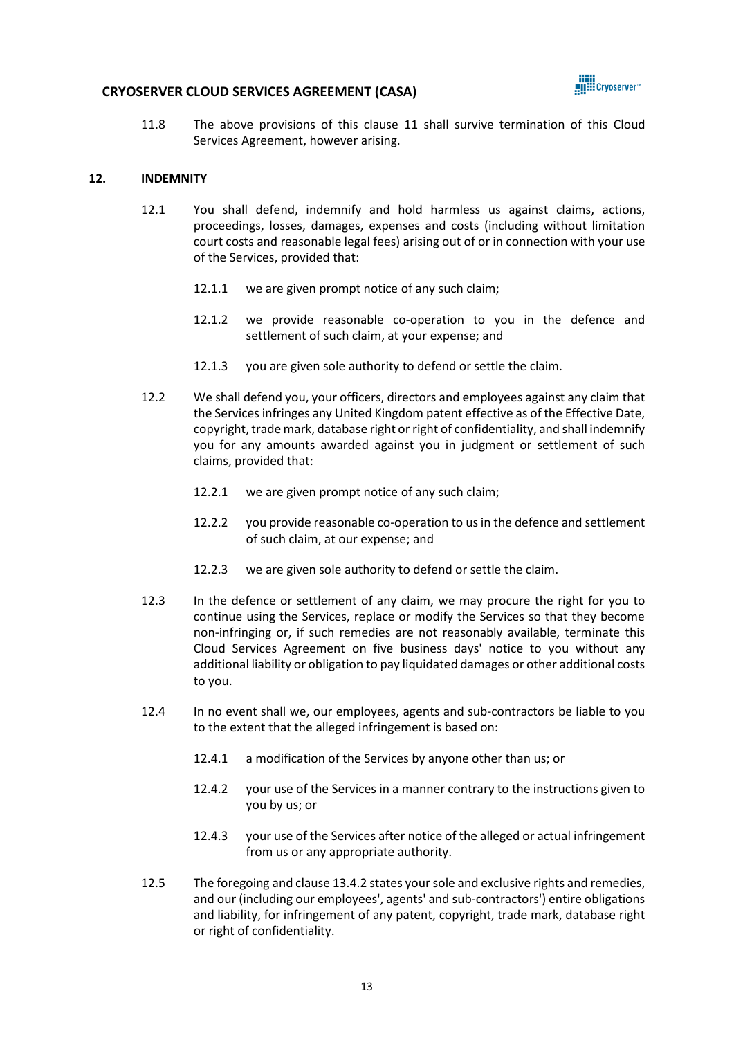11.8 The above provisions of this clause [11](#page-11-1) shall survive termination of this Cloud Services Agreement, however arising.

**HILL** Cryoserver"

#### **12. INDEMNITY**

- 12.1 You shall defend, indemnify and hold harmless us against claims, actions, proceedings, losses, damages, expenses and costs (including without limitation court costs and reasonable legal fees) arising out of or in connection with your use of the Services, provided that:
	- 12.1.1 we are given prompt notice of any such claim;
	- 12.1.2 we provide reasonable co-operation to you in the defence and settlement of such claim, at your expense; and
	- 12.1.3 you are given sole authority to defend or settle the claim.
- 12.2 We shall defend you, your officers, directors and employees against any claim that the Services infringes any United Kingdom patent effective as of the Effective Date, copyright, trade mark, database right or right of confidentiality, and shall indemnify you for any amounts awarded against you in judgment or settlement of such claims, provided that:
	- 12.2.1 we are given prompt notice of any such claim;
	- 12.2.2 you provide reasonable co-operation to usin the defence and settlement of such claim, at our expense; and
	- 12.2.3 we are given sole authority to defend or settle the claim.
- 12.3 In the defence or settlement of any claim, we may procure the right for you to continue using the Services, replace or modify the Services so that they become non-infringing or, if such remedies are not reasonably available, terminate this Cloud Services Agreement on five business days' notice to you without any additional liability or obligation to pay liquidated damages or other additional costs to you.
- 12.4 In no event shall we, our employees, agents and sub-contractors be liable to you to the extent that the alleged infringement is based on:
	- 12.4.1 a modification of the Services by anyone other than us; or
	- 12.4.2 your use of the Services in a manner contrary to the instructions given to you by us; or
	- 12.4.3 your use of the Services after notice of the alleged or actual infringement from us or any appropriate authority.
- 12.5 The foregoing and clause [13.4.2](#page-13-0) states yoursole and exclusive rights and remedies, and our (including our employees', agents' and sub-contractors') entire obligations and liability, for infringement of any patent, copyright, trade mark, database right or right of confidentiality.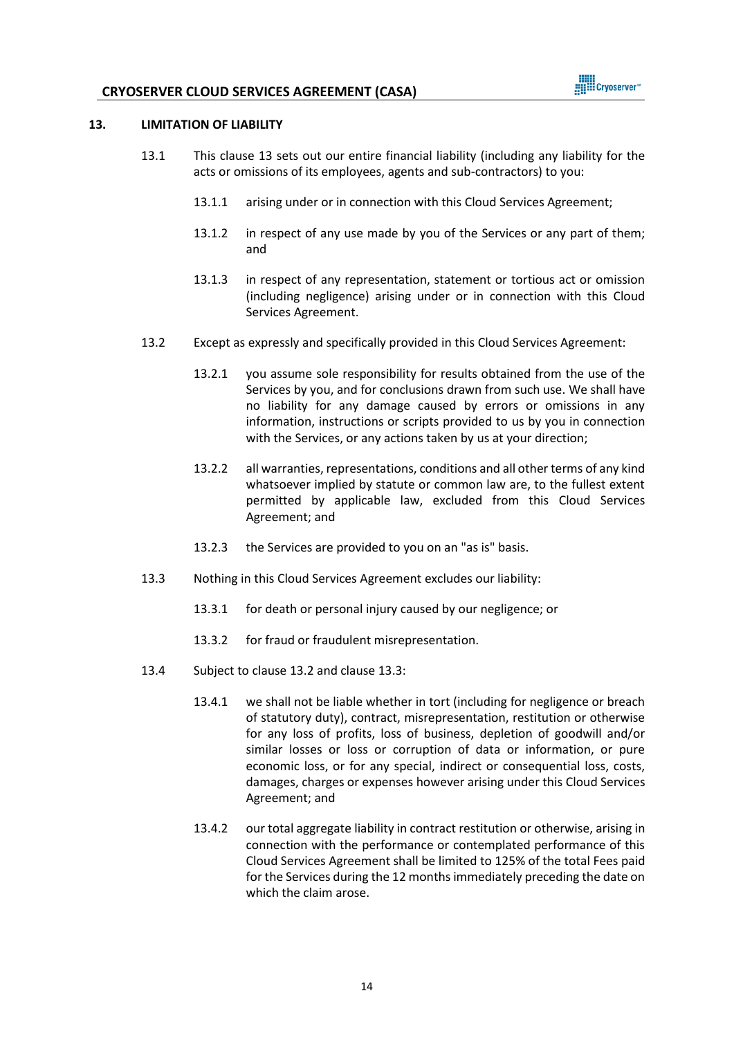

#### <span id="page-13-1"></span>**13. LIMITATION OF LIABILITY**

- 13.1 This clause [13](#page-13-1) sets out our entire financial liability (including any liability for the acts or omissions of its employees, agents and sub-contractors) to you:
	- 13.1.1 arising under or in connection with this Cloud Services Agreement;
	- 13.1.2 in respect of any use made by you of the Services or any part of them; and
	- 13.1.3 in respect of any representation, statement or tortious act or omission (including negligence) arising under or in connection with this Cloud Services Agreement.
- <span id="page-13-2"></span>13.2 Except as expressly and specifically provided in this Cloud Services Agreement:
	- 13.2.1 you assume sole responsibility for results obtained from the use of the Services by you, and for conclusions drawn from such use. We shall have no liability for any damage caused by errors or omissions in any information, instructions or scripts provided to us by you in connection with the Services, or any actions taken by us at your direction;
	- 13.2.2 all warranties, representations, conditions and all other terms of any kind whatsoever implied by statute or common law are, to the fullest extent permitted by applicable law, excluded from this Cloud Services Agreement; and
	- 13.2.3 the Services are provided to you on an "as is" basis.
- <span id="page-13-3"></span>13.3 Nothing in this Cloud Services Agreement excludes our liability:
	- 13.3.1 for death or personal injury caused by our negligence; or
	- 13.3.2 for fraud or fraudulent misrepresentation.
- <span id="page-13-0"></span>13.4 Subject to clause [13.2](#page-13-2) and clause [13.3:](#page-13-3)
	- 13.4.1 we shall not be liable whether in tort (including for negligence or breach of statutory duty), contract, misrepresentation, restitution or otherwise for any loss of profits, loss of business, depletion of goodwill and/or similar losses or loss or corruption of data or information, or pure economic loss, or for any special, indirect or consequential loss, costs, damages, charges or expenses however arising under this Cloud Services Agreement; and
	- 13.4.2 our total aggregate liability in contract restitution or otherwise, arising in connection with the performance or contemplated performance of this Cloud Services Agreement shall be limited to 125% of the total Fees paid for the Services during the 12 months immediately preceding the date on which the claim arose.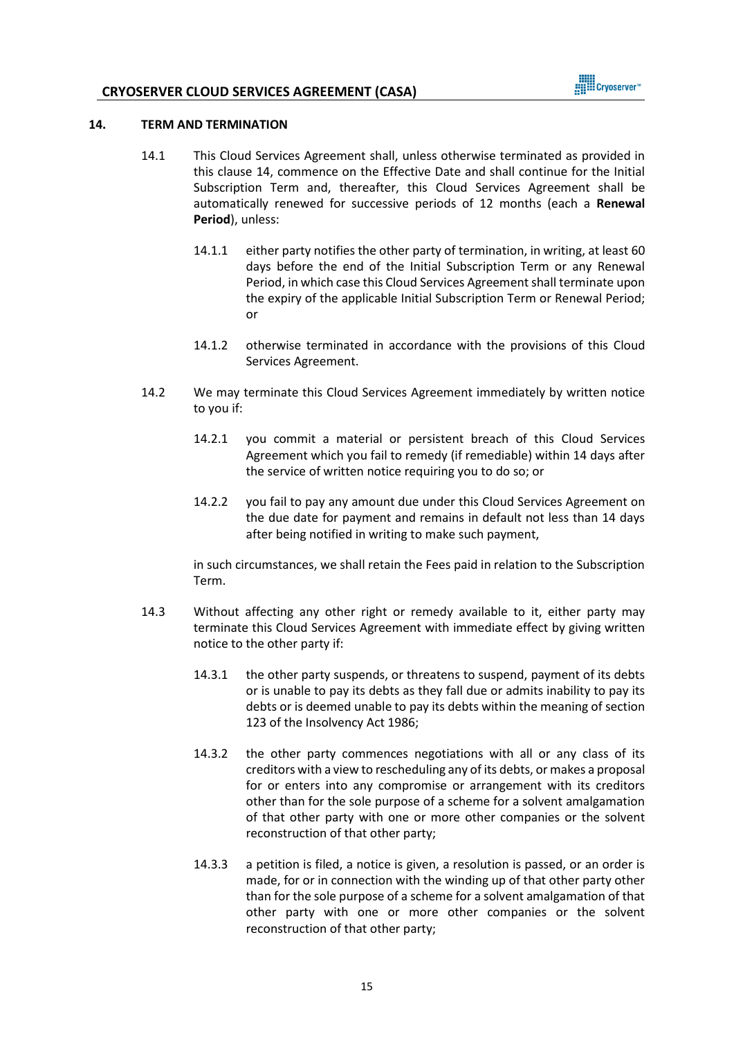

#### <span id="page-14-1"></span><span id="page-14-0"></span>**14. TERM AND TERMINATION**

- 14.1 This Cloud Services Agreement shall, unless otherwise terminated as provided in this clause [14,](#page-14-1) commence on the Effective Date and shall continue for the Initial Subscription Term and, thereafter, this Cloud Services Agreement shall be automatically renewed for successive periods of 12 months (each a **Renewal Period**), unless:
	- 14.1.1 either party notifies the other party of termination, in writing, at least 60 days before the end of the Initial Subscription Term or any Renewal Period, in which case this Cloud Services Agreement shall terminate upon the expiry of the applicable Initial Subscription Term or Renewal Period; or
	- 14.1.2 otherwise terminated in accordance with the provisions of this Cloud Services Agreement.
- 14.2 We may terminate this Cloud Services Agreement immediately by written notice to you if:
	- 14.2.1 you commit a material or persistent breach of this Cloud Services Agreement which you fail to remedy (if remediable) within 14 days after the service of written notice requiring you to do so; or
	- 14.2.2 you fail to pay any amount due under this Cloud Services Agreement on the due date for payment and remains in default not less than 14 days after being notified in writing to make such payment,

in such circumstances, we shall retain the Fees paid in relation to the Subscription Term.

- 14.3 Without affecting any other right or remedy available to it, either party may terminate this Cloud Services Agreement with immediate effect by giving written notice to the other party if:
	- 14.3.1 the other party suspends, or threatens to suspend, payment of its debts or is unable to pay its debts as they fall due or admits inability to pay its debts or is deemed unable to pay its debts within the meaning of section 123 of the Insolvency Act 1986;
	- 14.3.2 the other party commences negotiations with all or any class of its creditors with a view to rescheduling any of its debts, or makes a proposal for or enters into any compromise or arrangement with its creditors other than for the sole purpose of a scheme for a solvent amalgamation of that other party with one or more other companies or the solvent reconstruction of that other party;
	- 14.3.3 a petition is filed, a notice is given, a resolution is passed, or an order is made, for or in connection with the winding up of that other party other than for the sole purpose of a scheme for a solvent amalgamation of that other party with one or more other companies or the solvent reconstruction of that other party;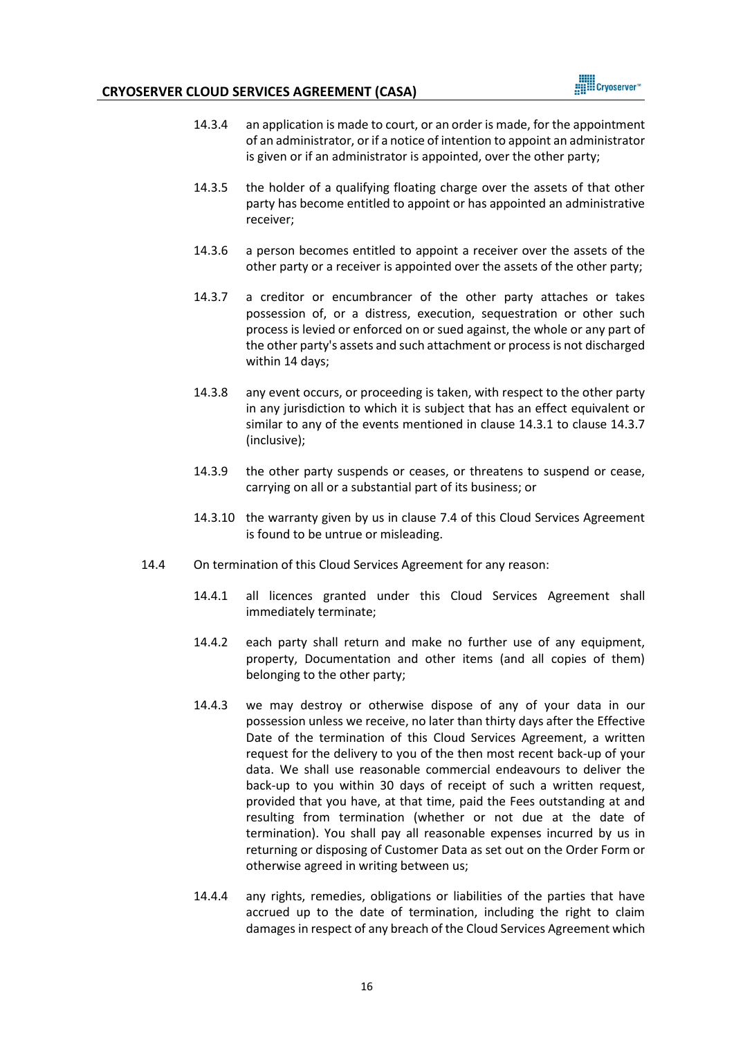

- 14.3.4 an application is made to court, or an order is made, for the appointment of an administrator, or if a notice of intention to appoint an administrator is given or if an administrator is appointed, over the other party;
- 14.3.5 the holder of a qualifying floating charge over the assets of that other party has become entitled to appoint or has appointed an administrative receiver;
- 14.3.6 a person becomes entitled to appoint a receiver over the assets of the other party or a receiver is appointed over the assets of the other party;
- 14.3.7 a creditor or encumbrancer of the other party attaches or takes possession of, or a distress, execution, sequestration or other such process is levied or enforced on or sued against, the whole or any part of the other party's assets and such attachment or process is not discharged within 14 days;
- 14.3.8 any event occurs, or proceeding is taken, with respect to the other party in any jurisdiction to which it is subject that has an effect equivalent or similar to any of the events mentioned in clause 14.3.1 to clause 14.3.7 (inclusive);
- 14.3.9 the other party suspends or ceases, or threatens to suspend or cease, carrying on all or a substantial part of its business; or
- 14.3.10 the warranty given by us in clause [7.4](#page-9-1) of this Cloud Services Agreement is found to be untrue or misleading.
- 14.4 On termination of this Cloud Services Agreement for any reason:
	- 14.4.1 all licences granted under this Cloud Services Agreement shall immediately terminate;
	- 14.4.2 each party shall return and make no further use of any equipment, property, Documentation and other items (and all copies of them) belonging to the other party;
	- 14.4.3 we may destroy or otherwise dispose of any of your data in our possession unless we receive, no later than thirty days after the Effective Date of the termination of this Cloud Services Agreement, a written request for the delivery to you of the then most recent back-up of your data. We shall use reasonable commercial endeavours to deliver the back-up to you within 30 days of receipt of such a written request, provided that you have, at that time, paid the Fees outstanding at and resulting from termination (whether or not due at the date of termination). You shall pay all reasonable expenses incurred by us in returning or disposing of Customer Data as set out on the Order Form or otherwise agreed in writing between us;
	- 14.4.4 any rights, remedies, obligations or liabilities of the parties that have accrued up to the date of termination, including the right to claim damages in respect of any breach of the Cloud Services Agreement which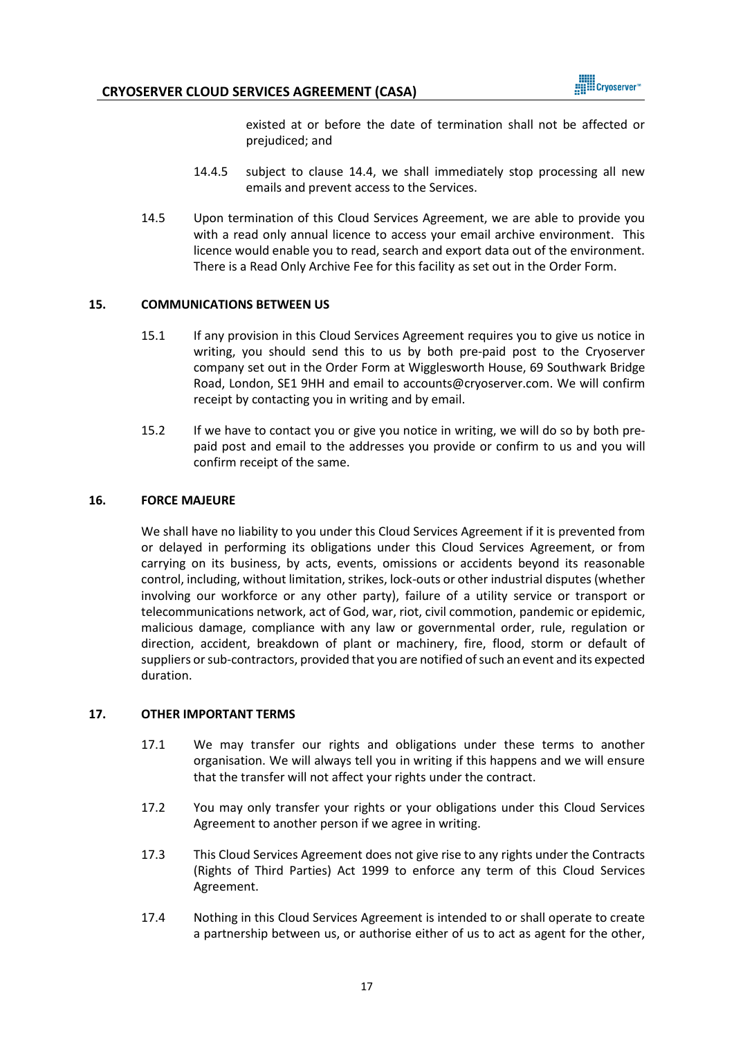

existed at or before the date of termination shall not be affected or prejudiced; and

- 14.4.5 subject to clause 14.4, we shall immediately stop processing all new emails and prevent access to the Services.
- 14.5 Upon termination of this Cloud Services Agreement, we are able to provide you with a read only annual licence to access your email archive environment. This licence would enable you to read, search and export data out of the environment. There is a Read Only Archive Fee for this facility as set out in the Order Form.

#### **15. COMMUNICATIONS BETWEEN US**

- 15.1 If any provision in this Cloud Services Agreement requires you to give us notice in writing, you should send this to us by both pre-paid post to the Cryoserver company set out in the Order Form at Wigglesworth House, 69 Southwark Bridge Road, London, SE1 9HH and email to accounts@cryoserver.com. We will confirm receipt by contacting you in writing and by email.
- 15.2 If we have to contact you or give you notice in writing, we will do so by both prepaid post and email to the addresses you provide or confirm to us and you will confirm receipt of the same.

#### **16. FORCE MAJEURE**

We shall have no liability to you under this Cloud Services Agreement if it is prevented from or delayed in performing its obligations under this Cloud Services Agreement, or from carrying on its business, by acts, events, omissions or accidents beyond its reasonable control, including, without limitation, strikes, lock-outs or other industrial disputes (whether involving our workforce or any other party), failure of a utility service or transport or telecommunications network, act of God, war, riot, civil commotion, pandemic or epidemic, malicious damage, compliance with any law or governmental order, rule, regulation or direction, accident, breakdown of plant or machinery, fire, flood, storm or default of suppliers or sub-contractors, provided that you are notified of such an event and its expected duration.

#### **17. OTHER IMPORTANT TERMS**

- 17.1 We may transfer our rights and obligations under these terms to another organisation. We will always tell you in writing if this happens and we will ensure that the transfer will not affect your rights under the contract.
- 17.2 You may only transfer your rights or your obligations under this Cloud Services Agreement to another person if we agree in writing.
- 17.3 This Cloud Services Agreement does not give rise to any rights under the Contracts (Rights of Third Parties) Act 1999 to enforce any term of this Cloud Services Agreement.
- 17.4 Nothing in this Cloud Services Agreement is intended to or shall operate to create a partnership between us, or authorise either of us to act as agent for the other,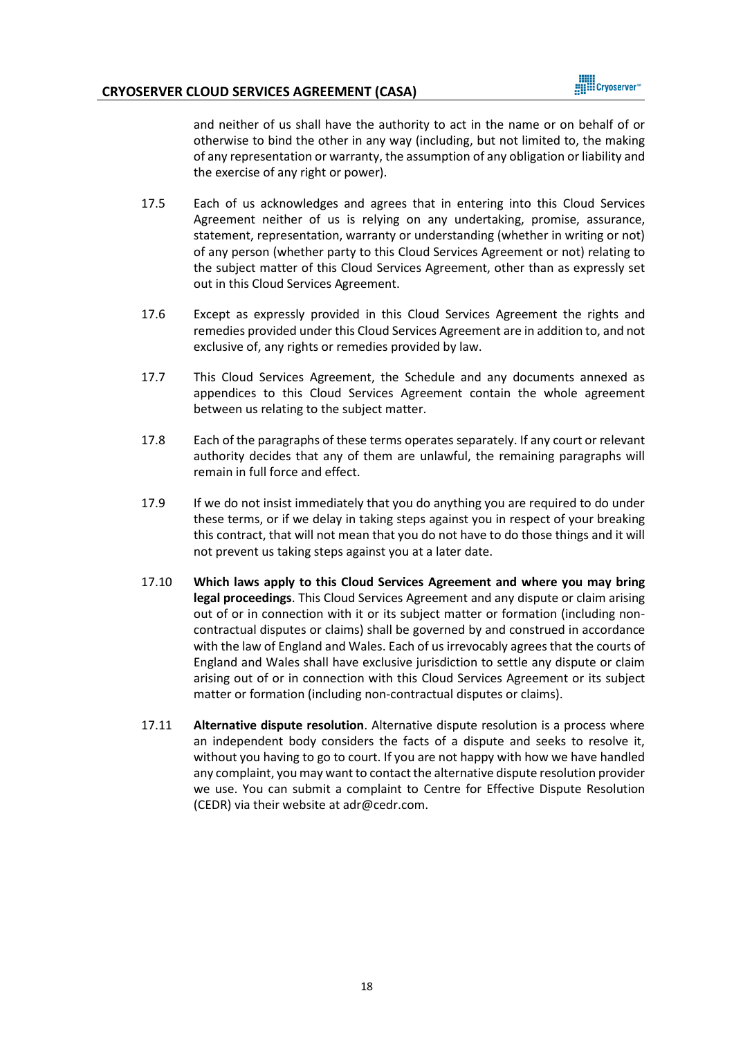

and neither of us shall have the authority to act in the name or on behalf of or otherwise to bind the other in any way (including, but not limited to, the making of any representation or warranty, the assumption of any obligation or liability and the exercise of any right or power).

- 17.5 Each of us acknowledges and agrees that in entering into this Cloud Services Agreement neither of us is relying on any undertaking, promise, assurance, statement, representation, warranty or understanding (whether in writing or not) of any person (whether party to this Cloud Services Agreement or not) relating to the subject matter of this Cloud Services Agreement, other than as expressly set out in this Cloud Services Agreement.
- 17.6 Except as expressly provided in this Cloud Services Agreement the rights and remedies provided under this Cloud Services Agreement are in addition to, and not exclusive of, any rights or remedies provided by law.
- 17.7 This Cloud Services Agreement, the Schedule and any documents annexed as appendices to this Cloud Services Agreement contain the whole agreement between us relating to the subject matter.
- 17.8 Each of the paragraphs of these terms operates separately. If any court or relevant authority decides that any of them are unlawful, the remaining paragraphs will remain in full force and effect.
- 17.9 If we do not insist immediately that you do anything you are required to do under these terms, or if we delay in taking steps against you in respect of your breaking this contract, that will not mean that you do not have to do those things and it will not prevent us taking steps against you at a later date.
- 17.10 **Which laws apply to this Cloud Services Agreement and where you may bring legal proceedings**. This Cloud Services Agreement and any dispute or claim arising out of or in connection with it or its subject matter or formation (including noncontractual disputes or claims) shall be governed by and construed in accordance with the law of England and Wales. Each of us irrevocably agrees that the courts of England and Wales shall have exclusive jurisdiction to settle any dispute or claim arising out of or in connection with this Cloud Services Agreement or its subject matter or formation (including non-contractual disputes or claims).
- 17.11 **Alternative dispute resolution**. Alternative dispute resolution is a process where an independent body considers the facts of a dispute and seeks to resolve it, without you having to go to court. If you are not happy with how we have handled any complaint, you may want to contact the alternative dispute resolution provider we use. You can submit a complaint to Centre for Effective Dispute Resolution (CEDR) via their website at adr@cedr.com.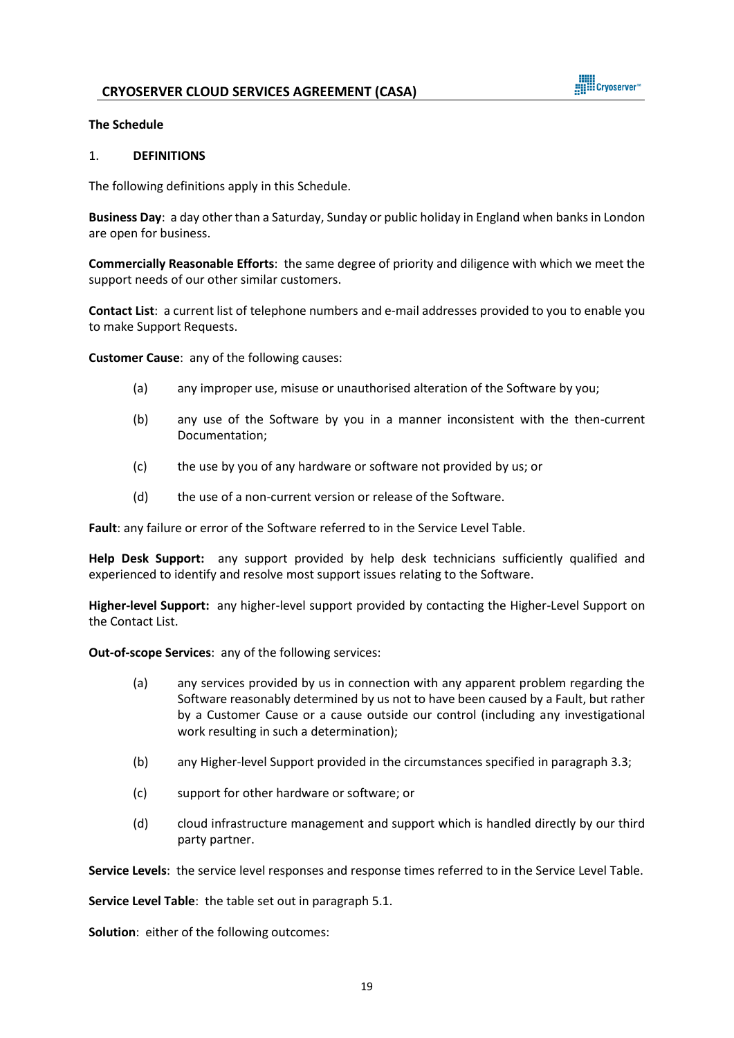

#### **The Schedule**

#### 1. **DEFINITIONS**

The following definitions apply in this Schedule.

**Business Day**: a day other than a Saturday, Sunday or public holiday in England when banks in London are open for business.

**Commercially Reasonable Efforts**: the same degree of priority and diligence with which we meet the support needs of our other similar customers.

**Contact List**: a current list of telephone numbers and e-mail addresses provided to you to enable you to make Support Requests.

**Customer Cause**: any of the following causes:

- (a) any improper use, misuse or unauthorised alteration of the Software by you;
- (b) any use of the Software by you in a manner inconsistent with the then-current Documentation;
- (c) the use by you of any hardware or software not provided by us; or
- (d) the use of a non-current version or release of the Software.

**Fault**: any failure or error of the Software referred to in the Service Level Table.

**Help Desk Support:** any support provided by help desk technicians sufficiently qualified and experienced to identify and resolve most support issues relating to the Software.

**Higher-level Support:** any higher-level support provided by contacting the Higher-Level Support on the Contact List.

**Out-of-scope Services**: any of the following services:

- (a) any services provided by us in connection with any apparent problem regarding the Software reasonably determined by us not to have been caused by a Fault, but rather by a Customer Cause or a cause outside our control (including any investigational work resulting in such a determination);
- (b) any Higher-level Support provided in the circumstances specified in paragraph 3.3;
- (c) support for other hardware or software; or
- (d) cloud infrastructure management and support which is handled directly by our third party partner.

**Service Levels**: the service level responses and response times referred to in the Service Level Table.

**Service Level Table**: the table set out in paragraph 5.1.

**Solution**: either of the following outcomes: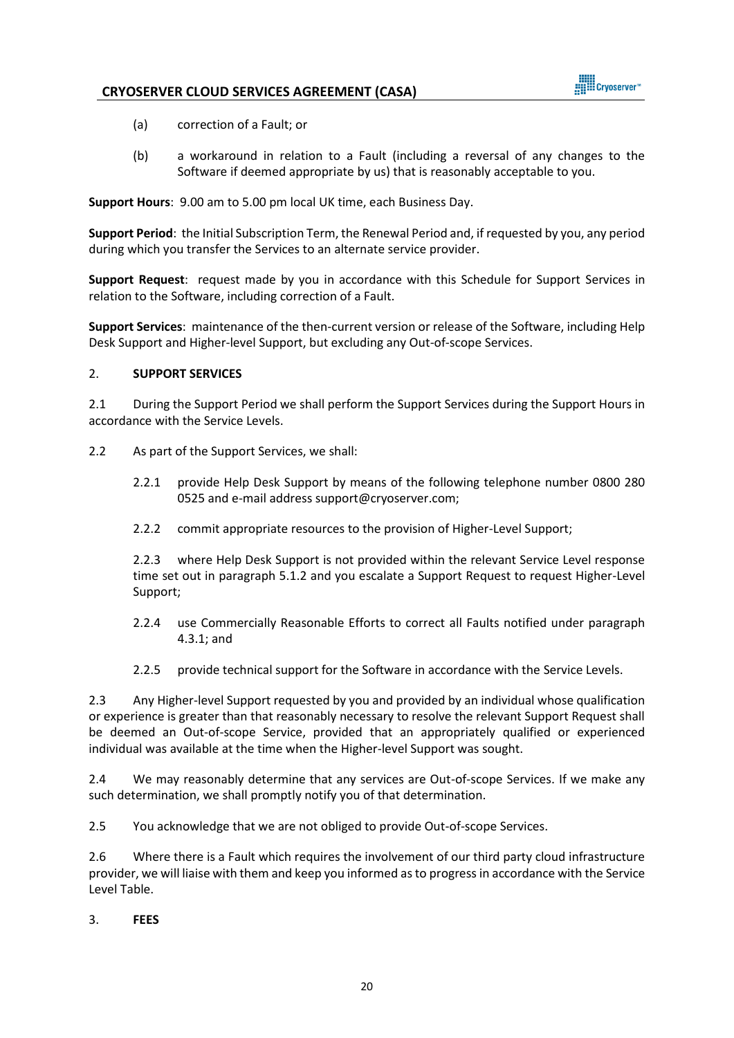

- (a) correction of a Fault; or
- (b) a workaround in relation to a Fault (including a reversal of any changes to the Software if deemed appropriate by us) that is reasonably acceptable to you.

**Support Hours**: 9.00 am to 5.00 pm local UK time, each Business Day.

**Support Period**: the Initial Subscription Term, the Renewal Period and, if requested by you, any period during which you transfer the Services to an alternate service provider.

**Support Request**: request made by you in accordance with this Schedule for Support Services in relation to the Software, including correction of a Fault.

**Support Services**: maintenance of the then-current version or release of the Software, including Help Desk Support and Higher-level Support, but excluding any Out-of-scope Services.

# 2. **SUPPORT SERVICES**

2.1 During the Support Period we shall perform the Support Services during the Support Hours in accordance with the Service Levels.

- 2.2 As part of the Support Services, we shall:
	- 2.2.1 provide Help Desk Support by means of the following telephone number 0800 280 0525 and e-mail address support@cryoserver.com;
	- 2.2.2 commit appropriate resources to the provision of Higher-Level Support;

2.2.3 where Help Desk Support is not provided within the relevant Service Level response time set out in paragraph 5.1.2 and you escalate a Support Request to request Higher-Level Support;

- 2.2.4 use Commercially Reasonable Efforts to correct all Faults notified under paragraph 4.3.1; and
- 2.2.5 provide technical support for the Software in accordance with the Service Levels.

2.3 Any Higher-level Support requested by you and provided by an individual whose qualification or experience is greater than that reasonably necessary to resolve the relevant Support Request shall be deemed an Out-of-scope Service, provided that an appropriately qualified or experienced individual was available at the time when the Higher-level Support was sought.

2.4 We may reasonably determine that any services are Out-of-scope Services. If we make any such determination, we shall promptly notify you of that determination.

2.5 You acknowledge that we are not obliged to provide Out-of-scope Services.

2.6 Where there is a Fault which requires the involvement of our third party cloud infrastructure provider, we will liaise with them and keep you informed as to progress in accordance with the Service Level Table.

3. **FEES**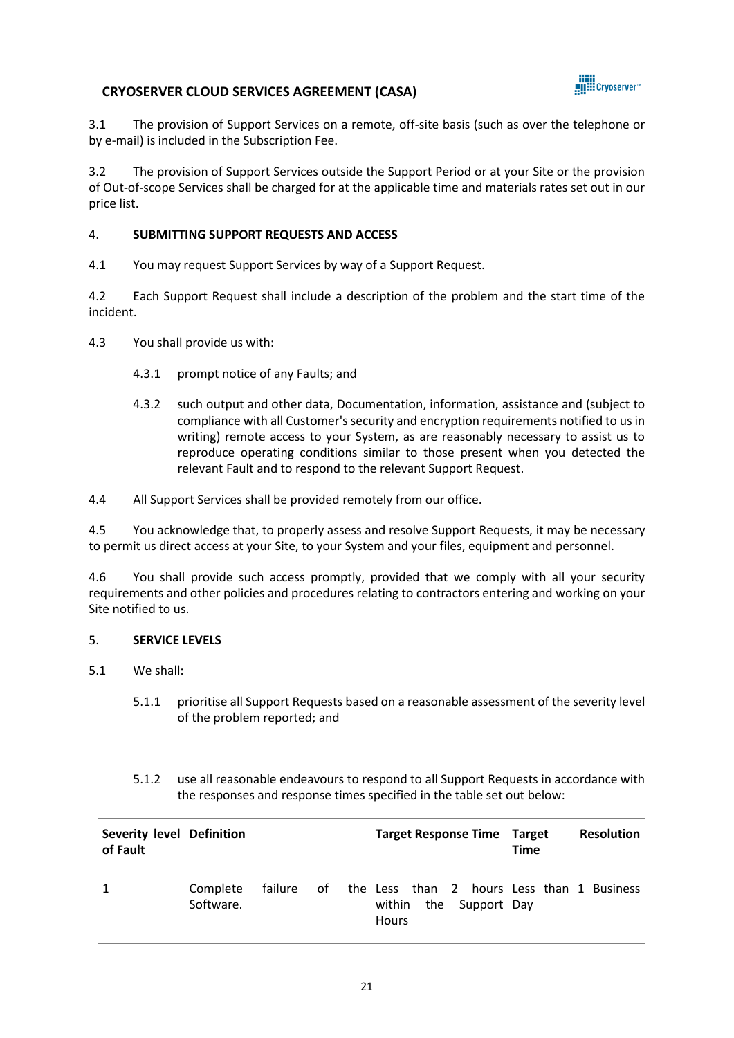

3.1 The provision of Support Services on a remote, off-site basis (such as over the telephone or by e-mail) is included in the Subscription Fee.

3.2 The provision of Support Services outside the Support Period or at your Site or the provision of Out-of-scope Services shall be charged for at the applicable time and materials rates set out in our price list.

# 4. **SUBMITTING SUPPORT REQUESTS AND ACCESS**

4.1 You may request Support Services by way of a Support Request.

4.2 Each Support Request shall include a description of the problem and the start time of the incident.

4.3 You shall provide us with:

- 4.3.1 prompt notice of any Faults; and
- 4.3.2 such output and other data, Documentation, information, assistance and (subject to compliance with all Customer's security and encryption requirements notified to us in writing) remote access to your System, as are reasonably necessary to assist us to reproduce operating conditions similar to those present when you detected the relevant Fault and to respond to the relevant Support Request.

4.4 All Support Services shall be provided remotely from our office.

4.5 You acknowledge that, to properly assess and resolve Support Requests, it may be necessary to permit us direct access at your Site, to your System and your files, equipment and personnel.

4.6 You shall provide such access promptly, provided that we comply with all your security requirements and other policies and procedures relating to contractors entering and working on your Site notified to us.

### 5. **SERVICE LEVELS**

- 5.1 We shall:
	- 5.1.1 prioritise all Support Requests based on a reasonable assessment of the severity level of the problem reported; and
	- 5.1.2 use all reasonable endeavours to respond to all Support Requests in accordance with the responses and response times specified in the table set out below:

| Severity level Definition<br>of Fault |                       |  | Target Response Time   Target                     | <b>Resolution</b><br><b>Time</b>                      |
|---------------------------------------|-----------------------|--|---------------------------------------------------|-------------------------------------------------------|
| $\mathbf{1}$                          | Complete<br>Software. |  | within<br>the Support $\vert$ Day<br><b>Hours</b> | failure of the Less than 2 hours Less than 1 Business |